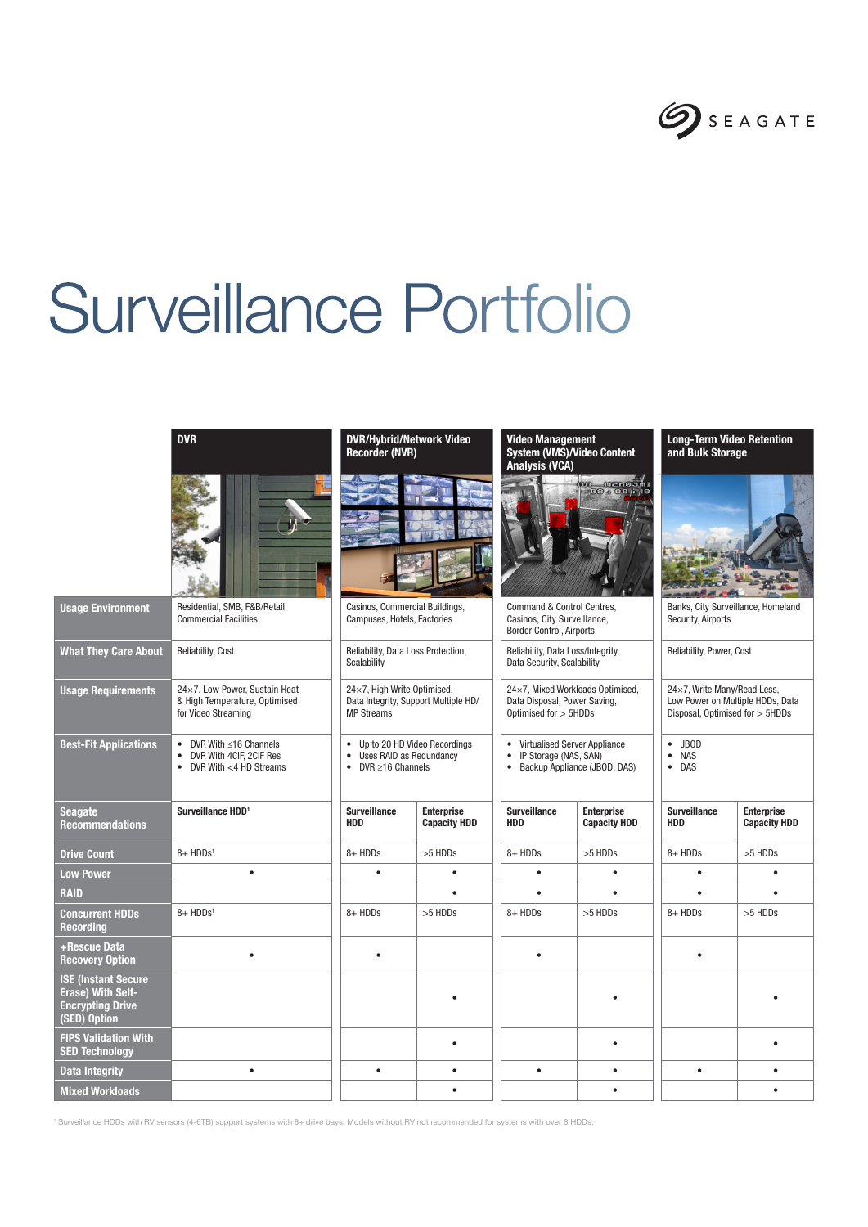

# Surveillance Portfolio



## Usage Environment Residential, SMB, F&B/Retail, Commercial Facilities What They Care About Reliability, Cost Reliability, Data Loss Protection, Scalability Usage Requirements 24×7, Low Power, Sustain Heat & High Temperature, Optimised for Video Streaming MP Streams Best-Fit Applications • DVR With ≤16 Channels • DVR With 4CIF, 2CIF Res • DVR With <4 HD Streams • DVR ≥16 Channels Seagate Recommendations Surveillance HDD<sup>1</sup> Surveillance HDD Drive Count 8+ HDDs<sup>1</sup> 8+ HDDs<sup>1</sup> 8+ HDDs 8+ HDDs 8+ HDDs 8+ HDDs 8+ HDDs 8+ HDDs 8+ HDDs 8+ HDDs 8+ HDDs Low Power • • • • • • • RAID • • • • • Concurrent HDDs Recording 8+ HDDs1 8+ HDDs >5 HDDs 8+ HDDs >5 HDDs 8+ HDDs >5 HDDs +Rescue Data Recovery Option • • • • ISE (Instant Secure Erase) With Self-Encrypting Drive (SED) Option **FIPS Validation With**<br>**SED Technology** n Sivanuation with the company of the company of the company of the company of the company of the company of th<br>SED Technology and the company of the company of the company of the company of the company of the company of Data Integrity ● | | ● | ● | | ● | | ● | ● Mixed Workloads • • •

### DVR DVR/Hybrid/Network Video Recorder (NVR)



Casinos, Commercial Buildings, Campuses, Hotels, Factories

24×7, High Write Optimised, Data Integrity, Support Multiple HD/

• Up to 20 HD Video Recordings • Uses RAID as Redundancy

**Enternrise** Capacity HDD

#### Video Management System (VMS)/Video Content Analysis (VCA)



Command & Control Centres, Casinos, City Surveillance, Border Control, Airports

Reliability, Data Loss/Integrity, Data Security, Scalability

24×7, Mixed Workloads Optimised, Data Disposal, Power Saving, Optimised for > 5HDDs

• Virtualised Server Appliance • IP Storage (NAS, SAN)

• Backup Appliance (JBOD, DAS)

| ise<br>ty HDD | <b>Surveillance</b><br><b>HDD</b> | <b>Enterprise</b><br><b>Capacity HDD</b> | <b>Surveillance</b><br><b>HDD</b> | <b>Enterpris</b><br>Capacity |
|---------------|-----------------------------------|------------------------------------------|-----------------------------------|------------------------------|
| ls            | 8+ HDDs                           | $>5$ HDDs                                | 8+ HDDs                           | >5 HDDs                      |
| $\bullet$     | ٠                                 |                                          |                                   |                              |
| ٠             |                                   |                                          |                                   |                              |
| ls            | 8+ HDDs                           | >5 HDDs                                  | 8+ HDDs                           | >5 HDDs                      |
|               |                                   |                                          |                                   |                              |
|               |                                   |                                          |                                   |                              |
| $\bullet$     |                                   |                                          |                                   |                              |
| $\bullet$     | ٠                                 | ٠                                        | ٠                                 |                              |
| $\bullet$     |                                   |                                          |                                   | ٠                            |
|               |                                   |                                          |                                   |                              |

#### Long-Term Video Retention and Bulk Storage



Banks, City Surveillance, Homeland Security, Airports

Reliability, Power, Cost

#### 24×7, Write Many/Read Less, Low Power on Multiple HDDs, Data Disposal, Optimised for > 5HDDs

 $E<sub>neutrino</sub>$ 

• JBOD • NAS

• DAS

| Jul Vullalluu<br>HDD | <b>LINGI PHOG</b><br><b>Capacity HDD</b> |
|----------------------|------------------------------------------|
| 8+ HDDs              | >5 HDDs                                  |
|                      |                                          |
|                      |                                          |
| 8+ HDDs              | >5 HDDs                                  |
|                      |                                          |
|                      |                                          |
|                      |                                          |
|                      |                                          |
|                      |                                          |

1 Surveillance HDDs with RV sensors (4-6TB) support systems with 8+ drive bays. Models without RV not recommended for systems with over 8 HDDs.